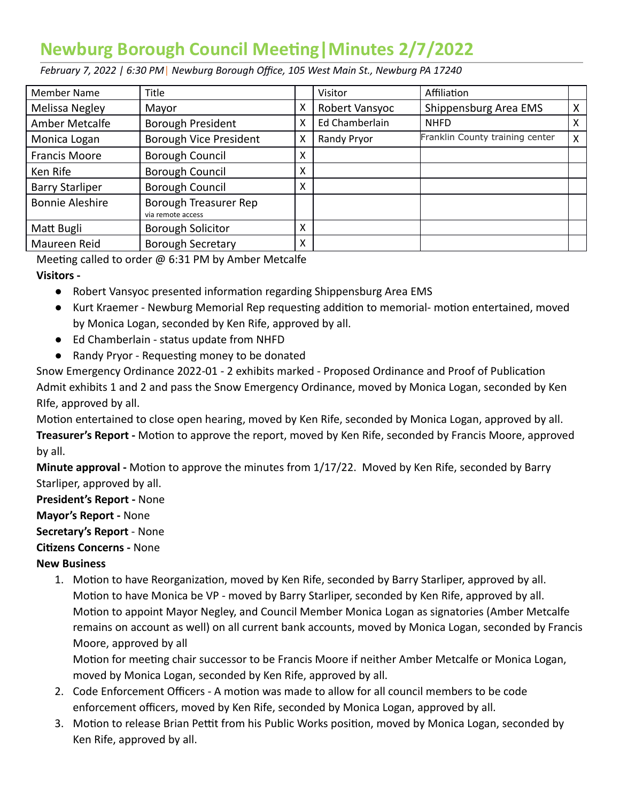## **Newburg Borough Council Meeting | Minutes 2/7/2022**

 *February 7, 2022 | 6:30 PM* | *Newburg Borough Office, 105 West Main St., Newburg PA 17240* 

| Member Name            | Title                                      |   | Visitor        | Affiliation                     |   |
|------------------------|--------------------------------------------|---|----------------|---------------------------------|---|
| Melissa Negley         | Mayor                                      | х | Robert Vansyoc | Shippensburg Area EMS           | X |
| Amber Metcalfe         | Borough President                          | X | Ed Chamberlain | <b>NHFD</b>                     | x |
| Monica Logan           | Borough Vice President                     | x | Randy Pryor    | Franklin County training center | X |
| <b>Francis Moore</b>   | Borough Council                            | x |                |                                 |   |
| Ken Rife               | Borough Council                            | x |                |                                 |   |
| <b>Barry Starliper</b> | Borough Council                            | x |                |                                 |   |
| <b>Bonnie Aleshire</b> | Borough Treasurer Rep<br>via remote access |   |                |                                 |   |
| Matt Bugli             | <b>Borough Solicitor</b>                   | x |                |                                 |   |
| Maureen Reid           | <b>Borough Secretary</b>                   | Χ |                |                                 |   |

Meeting called to order  $\omega$  6:31 PM by Amber Metcalfe  **Visitors -** 

- Robert Vansyoc presented information regarding Shippensburg Area EMS
- Kurt Kraemer Newburg Memorial Rep requesting addition to memorial- motion entertained, moved by Monica Logan, seconded by Ken Rife, approved by all.
- Ed Chamberlain status update from NHFD
- Randy Pryor Requesting money to be donated

Snow Emergency Ordinance 2022-01 - 2 exhibits marked - Proposed Ordinance and Proof of Publication Admit exhibits 1 and 2 and pass the Snow Emergency Ordinance, moved by Monica Logan, seconded by Ken RIfe, approved by all.

Motion entertained to close open hearing, moved by Ken Rife, seconded by Monica Logan, approved by all. **Treasurer's Report -** Motion to approve the report, moved by Ken Rife, seconded by Francis Moore, approved by all.

**Minute approval -** Motion to approve the minutes from 1/17/22. Moved by Ken Rife, seconded by Barry Starliper, approved by all.

 **President's Report -** None

 **Mayor's Report -** None

 **Secretary's Report** - None

**Citizens Concerns - None** 

## **New Business**

1. Motion to have Reorganization, moved by Ken Rife, seconded by Barry Starliper, approved by all. Motion to have Monica be VP - moved by Barry Starliper, seconded by Ken Rife, approved by all. Motion to appoint Mayor Negley, and Council Member Monica Logan as signatories (Amber Metcalfe remains on account as well) on all current bank accounts, moved by Monica Logan, seconded by Francis Moore, approved by all

Motion for meeting chair successor to be Francis Moore if neither Amber Metcalfe or Monica Logan, moved by Monica Logan, seconded by Ken Rife, approved by all.

- 2. Code Enforcement Officers A motion was made to allow for all council members to be code enforcement officers, moved by Ken Rife, seconded by Monica Logan, approved by all.
- 3. Motion to release Brian Pettit from his Public Works position, moved by Monica Logan, seconded by Ken Rife, approved by all.